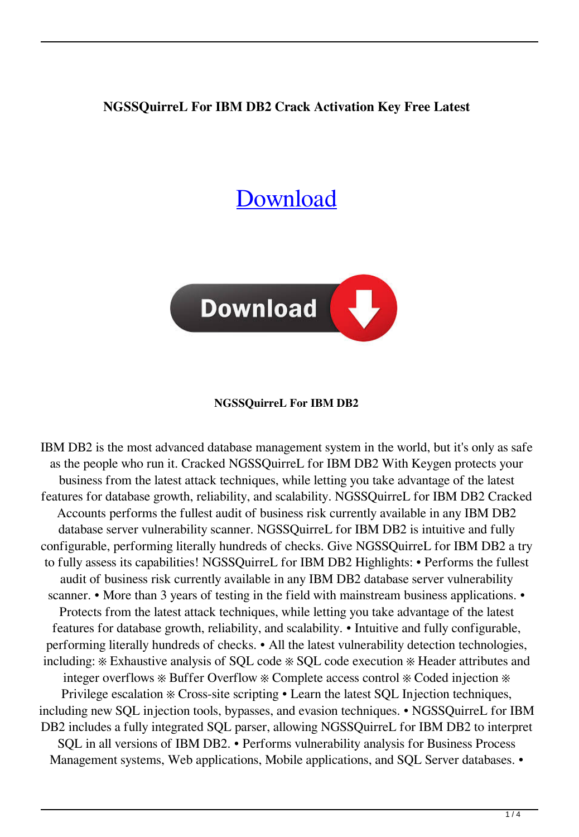# **NGSSQuirreL For IBM DB2 Crack Activation Key Free Latest**

# **[Download](http://evacdir.com/asic/bassinets.nonchalant/centralization/blankie/sloop?TkdTU1F1aXJyZUwgZm9yIElCTSBEQjITkd=ZG93bmxvYWR8N3ZDY0dob2ZId3hOalUwTlRJeU1URXdmSHd5TlRrd2ZId29UU2tnVjI5eVpIQnlaWE56SUZ0WVRVeFNVRU1nVmpJZ1VFUkdYUQ)**



#### **NGSSQuirreL For IBM DB2**

IBM DB2 is the most advanced database management system in the world, but it's only as safe as the people who run it. Cracked NGSSQuirreL for IBM DB2 With Keygen protects your business from the latest attack techniques, while letting you take advantage of the latest features for database growth, reliability, and scalability. NGSSQuirreL for IBM DB2 Cracked Accounts performs the fullest audit of business risk currently available in any IBM DB2 database server vulnerability scanner. NGSSQuirreL for IBM DB2 is intuitive and fully configurable, performing literally hundreds of checks. Give NGSSQuirreL for IBM DB2 a try to fully assess its capabilities! NGSSQuirreL for IBM DB2 Highlights: • Performs the fullest audit of business risk currently available in any IBM DB2 database server vulnerability scanner. • More than 3 years of testing in the field with mainstream business applications. • Protects from the latest attack techniques, while letting you take advantage of the latest features for database growth, reliability, and scalability. • Intuitive and fully configurable, performing literally hundreds of checks. • All the latest vulnerability detection technologies, including: ※ Exhaustive analysis of SQL code ※ SQL code execution ※ Header attributes and integer overflows ※ Buffer Overflow ※ Complete access control ※ Coded injection ※ Privilege escalation ※ Cross-site scripting • Learn the latest SQL Injection techniques, including new SQL injection tools, bypasses, and evasion techniques. • NGSSQuirreL for IBM DB2 includes a fully integrated SQL parser, allowing NGSSQuirreL for IBM DB2 to interpret SQL in all versions of IBM DB2. • Performs vulnerability analysis for Business Process Management systems, Web applications, Mobile applications, and SQL Server databases. •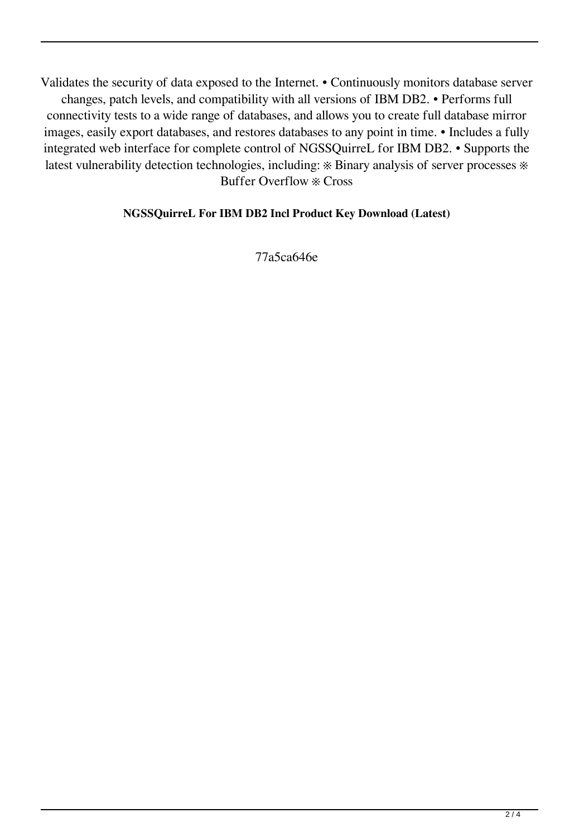Validates the security of data exposed to the Internet. • Continuously monitors database server changes, patch levels, and compatibility with all versions of IBM DB2. • Performs full connectivity tests to a wide range of databases, and allows you to create full database mirror images, easily export databases, and restores databases to any point in time. • Includes a fully integrated web interface for complete control of NGSSQuirreL for IBM DB2. • Supports the latest vulnerability detection technologies, including: ※ Binary analysis of server processes ※ Buffer Overflow ※ Cross

#### **NGSSQuirreL For IBM DB2 Incl Product Key Download (Latest)**

77a5ca646e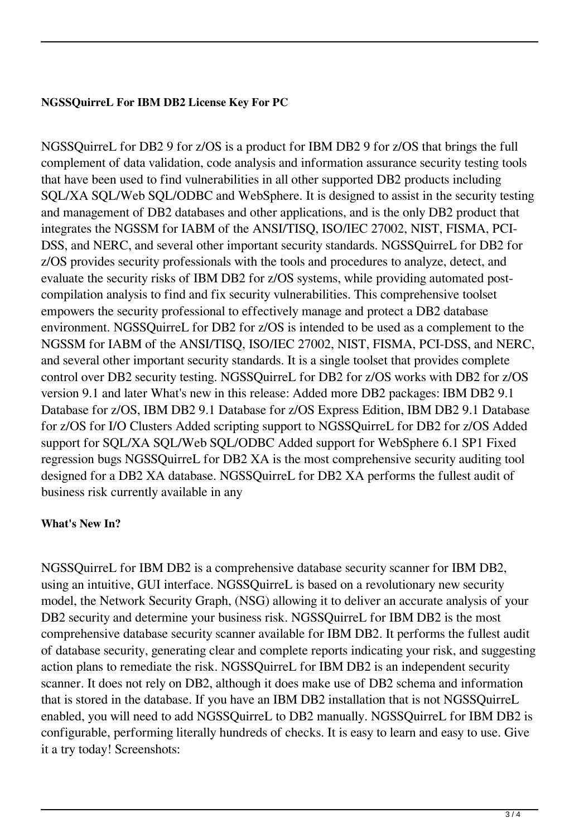### **NGSSQuirreL For IBM DB2 License Key For PC**

NGSSQuirreL for DB2 9 for z/OS is a product for IBM DB2 9 for z/OS that brings the full complement of data validation, code analysis and information assurance security testing tools that have been used to find vulnerabilities in all other supported DB2 products including SQL/XA SQL/Web SQL/ODBC and WebSphere. It is designed to assist in the security testing and management of DB2 databases and other applications, and is the only DB2 product that integrates the NGSSM for IABM of the ANSI/TISQ, ISO/IEC 27002, NIST, FISMA, PCI-DSS, and NERC, and several other important security standards. NGSSQuirreL for DB2 for z/OS provides security professionals with the tools and procedures to analyze, detect, and evaluate the security risks of IBM DB2 for z/OS systems, while providing automated postcompilation analysis to find and fix security vulnerabilities. This comprehensive toolset empowers the security professional to effectively manage and protect a DB2 database environment. NGSSQuirreL for DB2 for z/OS is intended to be used as a complement to the NGSSM for IABM of the ANSI/TISQ, ISO/IEC 27002, NIST, FISMA, PCI-DSS, and NERC, and several other important security standards. It is a single toolset that provides complete control over DB2 security testing. NGSSQuirreL for DB2 for z/OS works with DB2 for z/OS version 9.1 and later What's new in this release: Added more DB2 packages: IBM DB2 9.1 Database for z/OS, IBM DB2 9.1 Database for z/OS Express Edition, IBM DB2 9.1 Database for z/OS for I/O Clusters Added scripting support to NGSSQuirreL for DB2 for z/OS Added support for SQL/XA SQL/Web SQL/ODBC Added support for WebSphere 6.1 SP1 Fixed regression bugs NGSSQuirreL for DB2 XA is the most comprehensive security auditing tool designed for a DB2 XA database. NGSSQuirreL for DB2 XA performs the fullest audit of business risk currently available in any

#### **What's New In?**

NGSSQuirreL for IBM DB2 is a comprehensive database security scanner for IBM DB2, using an intuitive, GUI interface. NGSSQuirreL is based on a revolutionary new security model, the Network Security Graph, (NSG) allowing it to deliver an accurate analysis of your DB2 security and determine your business risk. NGSSQuirreL for IBM DB2 is the most comprehensive database security scanner available for IBM DB2. It performs the fullest audit of database security, generating clear and complete reports indicating your risk, and suggesting action plans to remediate the risk. NGSSQuirreL for IBM DB2 is an independent security scanner. It does not rely on DB2, although it does make use of DB2 schema and information that is stored in the database. If you have an IBM DB2 installation that is not NGSSQuirreL enabled, you will need to add NGSSQuirreL to DB2 manually. NGSSQuirreL for IBM DB2 is configurable, performing literally hundreds of checks. It is easy to learn and easy to use. Give it a try today! Screenshots: